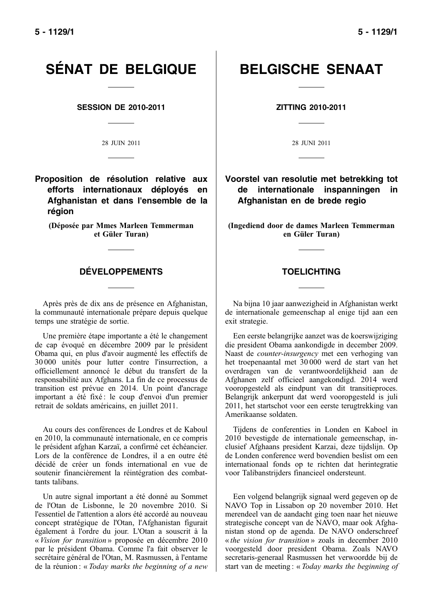# SÉNAT DE BELGIQUE | BELGISCHE SENAAT

**SESSION DE 2010-2011 ZITTING 2010-2011**

**Proposition de résolution relative aux efforts internationaux déployés en Afghanistan et dans l'ensemble de la région**

(Déposée par Mmes Marleen Temmerman et Güler Turan)

### **DÉVELOPPEMENTS TOELICHTING**

Après près de dix ans de présence en Afghanistan, la communauté internationale prépare depuis quelque temps une stratégie de sortie.

Une première étape importante a été le changement de cap évoqué en décembre 2009 par le président Obama qui, en plus d'avoir augmenté les effectifs de 30 000 unités pour lutter contre l'insurrection, a officiellement annoncé le début du transfert de la responsabilité aux Afghans. La fin de ce processus de transition est prévue en 2014. Un point d'ancrage important a été fixé : le coup d'envoi d'un premier retrait de soldats américains, en juillet 2011.

Au cours des conférences de Londres et de Kaboul en 2010, la communauté internationale, en ce compris le président afghan Karzaï, a confirmé cet échéancier. Lors de la conférence de Londres, il a en outre été décidé de créer un fonds international en vue de soutenir financièrement la réintégration des combattants talibans.

Un autre signal important a été donné au Sommet de l'Otan de Lisbonne, le 20 novembre 2010. Si l'essentiel de l'attention a alors été accordé au nouveau concept stratégique de l'Otan, l'Afghanistan figurait également à l'ordre du jour. L'Otan a souscrit à la « *Vision for transition* » proposée en décembre 2010 par le président Obama. Comme l'a fait observer le secrétaire général de l'Otan, M. Rasmussen, à l'entame de la réunion : « *Today marks the beginning of a new*

28 JUIN 2011 28 JUNI 2011

**Voorstel van resolutie met betrekking tot de internationale inspanningen in Afghanistan en de brede regio**

(Ingediend door de dames Marleen Temmerman en Güler Turan)

Na bijna 10 jaar aanwezigheid in Afghanistan werkt de internationale gemeenschap al enige tijd aan een exit strategie.

Een eerste belangrijke aanzet was de koerswijziging die president Obama aankondigde in december 2009. Naast de *counter-insurgency* met een verhoging van het troepenaantal met 30 000 werd de start van het overdragen van de verantwoordelijkheid aan de Afghanen zelf officieel aangekondigd. 2014 werd vooropgesteld als eindpunt van dit transitieproces. Belangrijk ankerpunt dat werd vooropgesteld is juli 2011, het startschot voor een eerste terugtrekking van Amerikaanse soldaten.

Tijdens de conferenties in Londen en Kaboel in 2010 bevestigde de internationale gemeenschap, inclusief Afghaans president Karzai, deze tijdslijn. Op de Londen conference werd bovendien beslist om een internationaal fonds op te richten dat herintegratie voor Talibanstrijders financieel ondersteunt.

Een volgend belangrijk signaal werd gegeven op de NAVO Top in Lissabon op 20 november 2010. Het merendeel van de aandacht ging toen naar het nieuwe strategische concept van de NAVO, maar ook Afghanistan stond op de agenda. De NAVO onderschreef « *the vision for transition* » zoals in december 2010 voorgesteld door president Obama. Zoals NAVO secretaris-generaal Rasmussen het verwoordde bij de start van de meeting : « *Today marks the beginning of*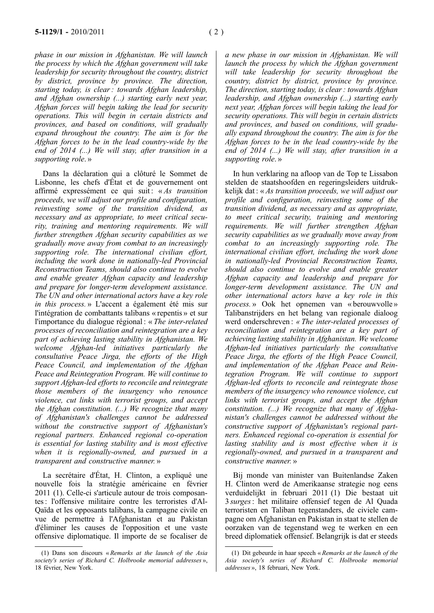*phase in our mission in Afghanistan. We will launch the process by which the Afghan government will take leadership for security throughout the country, district by district, province by province. The direction, starting today, is clear : towards Afghan leadership, and Afghan ownership (...) starting early next year, Afghan forces will begin taking the lead for security operations. This will begin in certain districts and provinces, and based on conditions, will gradually expand throughout the country. The aim is for the Afghan forces to be in the lead country-wide by the end of 2014 (...) We will stay, after transition in a supporting role*. »

Dans la déclaration qui a clôturé le Sommet de Lisbonne, les chefs d'État et de gouvernement ont affirmé expressément ce qui suit : « *As transition proceeds, we will adjust our profile and configuration, reinvesting some of the transition dividend, as necessary and as appropriate, to meet critical security, training and mentoring requirements. We will further strengthen Afghan security capabilities as we gradually move away from combat to an increasingly supporting role. The international civilian effort, including the work done in nationally-led Provincial Reconstruction Teams, should also continue to evolve and enable greater Afghan capacity and leadership and prepare for longer-term development assistance. The UN and other international actors have a key role in this process.* » L'accent a également été mis sur l'intégration de combattants talibans « repentis » et sur l'importance du dialogue régional : « *The inter-related processes of reconciliation and reintegration are a key part of achieving lasting stability in Afghanistan. We welcome Afghan-led initiatives particularly the consultative Peace Jirga, the efforts of the High Peace Council, and implementation of the Afghan Peace and Reintegration Program. We will continue to support Afghan-led efforts to reconcile and reintegrate those members of the insurgency who renounce violence, cut links with terrorist groups, and accept the Afghan constitution. (...) We recognize that many of Afghanistan's challenges cannot be addressed without the constructive support of Afghanistan's regional partners. Enhanced regional co-operation is essential for lasting stability and is most effective when it is regionally-owned, and pursued in a transparent and constructive manner.* »

La secrétaire d'État, H. Clinton, a expliqué une nouvelle fois la stratégie américaine en février 2011 (1). Celle-ci s'articule autour de trois composantes : l'offensive militaire contre les terroristes d'Al-Qaïda et les opposants talibans, la campagne civile en vue de permettre à l'Afghanistan et au Pakistan d'éliminer les causes de l'opposition et une vaste offensive diplomatique. Il importe de se focaliser de

*a new phase in our mission in Afghanistan. We will launch the process by which the Afghan government will take leadership for security throughout the country, district by district, province by province. The direction, starting today, is clear : towards Afghan leadership, and Afghan ownership (...) starting early next year, Afghan forces will begin taking the lead for security operations. This will begin in certain districts and provinces, and based on conditions, will gradually expand throughout the country. The aim is for the Afghan forces to be in the lead country-wide by the end of 2014 (...) We will stay, after transition in a supporting role*. »

In hun verklaring na afloop van de Top te Lissabon stelden de staatshoofden en regeringsleiders uitdrukkelijk dat : « *As transition proceeds, we will adjust our profile and configuration, reinvesting some of the transition dividend, as necessary and as appropriate, to meet critical security, training and mentoring requirements. We will further strengthen Afghan security capabilities as we gradually move away from combat to an increasingly supporting role. The international civilian effort, including the work done in nationally-led Provincial Reconstruction Teams, should also continue to evolve and enable greater Afghan capacity and leadership and prepare for longer-term development assistance. The UN and other international actors have a key role in this process.* » Ook het opnemen van « berouwvolle » Talibanstrijders en het belang van regionale dialoog werd onderschreven : *« The inter-related processes of reconciliation and reintegration are a key part of achieving lasting stability in Afghanistan. We welcome Afghan-led initiatives particularly the consultative Peace Jirga, the efforts of the High Peace Council, and implementation of the Afghan Peace and Reintegration Program. We will continue to support Afghan-led efforts to reconcile and reintegrate those members of the insurgency who renounce violence, cut links with terrorist groups, and accept the Afghan constitution. (...) We recognize that many of Afghanistan's challenges cannot be addressed without the constructive support of Afghanistan's regional partners. Enhanced regional co-operation is essential for lasting stability and is most effective when it is regionally-owned, and pursued in a transparent and constructive manner.* »

Bij monde van minister van Buitenlandse Zaken H. Clinton werd de Amerikaanse strategie nog eens verduidelijkt in februari 2011 (1) Die bestaat uit 3 *surges*: het militaire offensief tegen de Al Quada terroristen en Taliban tegenstanders, de civiele campagne om Afghanistan en Pakistan in staat te stellen de oorzaken van de tegenstand weg te werken en een breed diplomatiek offensief. Belangrijk is dat er steeds

<sup>(1)</sup> Dans son discours « *Remarks at the launch of the Asia society's series of Richard C. Holbrooke memorial addresses* », 18 février, New York.

<sup>(1)</sup> Dit gebeurde in haar speech « *Remarks at the launch of the Asia society's series of Richard C. Holbrooke memorial addresses* », 18 februari, New York.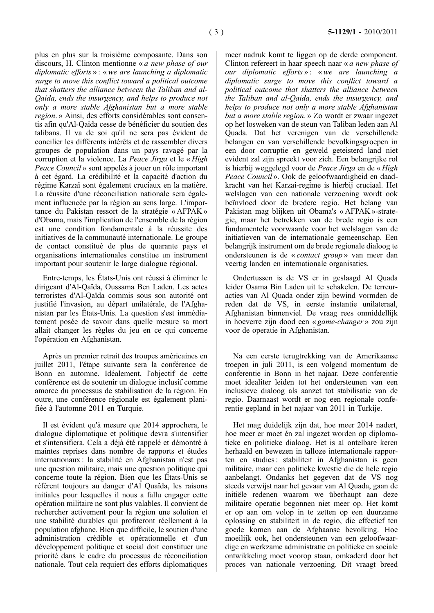plus en plus sur la troisième composante. Dans son discours, H. Clinton mentionne « *a new phase of our diplomatic efforts* » : «*we are launching a diplomatic surge to move this conflict toward a political outcome that shatters the alliance between the Taliban and al-Qaida, ends the insurgency, and helps to produce not only a more stable Afghanistan but a more stable region*. » Ainsi, des efforts considérables sont consentis afin qu'Al-Qaïda cesse de bénéficier du soutien des talibans. Il va de soi qu'il ne sera pas évident de concilier les différents intérêts et de rassembler divers groupes de population dans un pays ravagé par la corruption et la violence. La *Peace Jirga* et le « *High Peace Council* » sont appelés à jouer un rôle important à cet égard. La crédibilité et la capacité d'action du régime Karzaï sont également cruciaux en la matière. La réussite d'une réconciliation nationale sera également influencée par la région au sens large. L'importance du Pakistan ressort de la stratégie « AFPAK » d'Obama, mais l'implication de l'ensemble de la région est une condition fondamentale à la réussite des initiatives de la communauté internationale. Le groupe de contact constitué de plus de quarante pays et organisations internationales constitue un instrument important pour soutenir le large dialogue régional.

Entre-temps, les États-Unis ont réussi à éliminer le dirigeant d'Al-Qaïda, Oussama Ben Laden. Les actes terroristes d'Al-Qaïda commis sous son autorité ont justifié l'invasion, au départ unilatérale, de l'Afghanistan par les États-Unis. La question s'est immédiatement posée de savoir dans quelle mesure sa mort allait changer les règles du jeu en ce qui concerne l'opération en Afghanistan.

Après un premier retrait des troupes américaines en juillet 2011, l'étape suivante sera la conférence de Bonn en automne. Idéalement, l'objectif de cette conférence est de soutenir un dialogue inclusif comme amorce du processus de stabilisation de la région. En outre, une conférence régionale est également planifiée à l'automne 2011 en Turquie.

Il est évident qu'à mesure que 2014 approchera, le dialogue diplomatique et politique devra s'intensifier et s'intensifiera. Cela a déjà été rappelé et démontré à maintes reprises dans nombre de rapports et études internationaux : la stabilité en Afghanistan n'est pas une question militaire, mais une question politique qui concerne toute la région. Bien que les États-Unis se réfèrent toujours au danger d'Al Quaïda, les raisons initiales pour lesquelles il nous a fallu engager cette opération militaire ne sont plus valables. Il convient de rechercher activement pour la région une solution et une stabilité durables qui profiteront réellement à la population afghane. Bien que difficile, le soutien d'une administration crédible et opérationnelle et d'un développement politique et social doit constituer une priorité dans le cadre du processus de réconciliation nationale. Tout cela requiert des efforts diplomatiques

meer nadruk komt te liggen op de derde component. Clinton refereert in haar speech naar « *a new phase of our diplomatic efforts* » : «*we are launching a diplomatic surge to move this conflict toward a political outcome that shatters the alliance between the Taliban and al-Qaida, ends the insurgency, and helps to produce not only a more stable Afghanistan but a more stable region*. » Zo wordt er zwaar ingezet op het losweken van de steun van Taliban leden aan Al Quada. Dat het verenigen van de verschillende belangen en van verschillende bevolkingsgroepen in een door corruptie en geweld geteisterd land niet evident zal zijn spreekt voor zich. Een belangrijke rol is hierbij weggelegd voor de *Peace Jirga* en de « *High Peace Council* ». Ook de geloofwaardigheid en daadkracht van het Karzai-regime is hierbij cruciaal. Het welslagen van een nationale verzoening wordt ook beïnvloed door de bredere regio. Het belang van Pakistan mag blijken uit Obama's « AFPAK »-strategie, maar het betrekken van de brede regio is een fundamentele voorwaarde voor het welslagen van de initiatieven van de internationale gemeenschap. Een belangrijk instrument om de brede regionale dialoog te ondersteunen is de « *contact group* » van meer dan veertig landen en internationale organisaties.

Ondertussen is de VS er in geslaagd Al Quada leider Osama Bin Laden uit te schakelen. De terreuracties van Al Quada onder zijn bewind vormden de reden dat de VS, in eerste instantie unilateraal, Afghanistan binnenviel. De vraag rees onmiddellijk in hoeverre zijn dood een « *game-changer* » zou zijn voor de operatie in Afghanistan.

Na een eerste terugtrekking van de Amerikaanse troepen in juli 2011, is een volgend momentum de conferentie in Bonn in het najaar. Deze conferentie moet idealiter leiden tot het ondersteunen van een inclusieve dialoog als aanzet tot stabilisatie van de regio. Daarnaast wordt er nog een regionale conferentie gepland in het najaar van 2011 in Turkije.

Het mag duidelijk zijn dat, hoe meer 2014 nadert, hoe meer er moet én zal ingezet worden op diplomatieke en politieke dialoog. Het is al ontelbare keren herhaald en bewezen in talloze internationale rapporten en studies : stabiliteit in Afghanistan is geen militaire, maar een politieke kwestie die de hele regio aanbelangt. Ondanks het gegeven dat de VS nog steeds verwijst naar het gevaar van Al Quada, gaan de initiële redenen waarom we überhaupt aan deze militaire operatie begonnen niet meer op. Het komt er op aan om volop in te zetten op een duurzame oplossing en stabiliteit in de regio, die effectief ten goede komen aan de Afghaanse bevolking. Hoe moeilijk ook, het ondersteunen van een geloofwaardige en werkzame administratie en politieke en sociale ontwikkeling moet voorop staan, omkaderd door het proces van nationale verzoening. Dit vraagt breed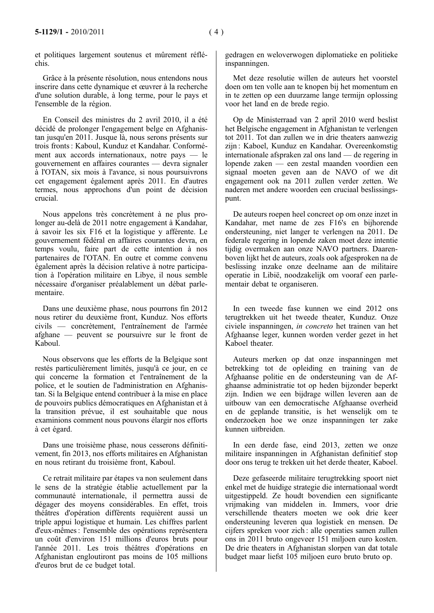et politiques largement soutenus et mûrement réfléchis.

Grâce à la présente résolution, nous entendons nous inscrire dans cette dynamique et œuvrer à la recherche d'une solution durable, à long terme, pour le pays et l'ensemble de la région.

En Conseil des ministres du 2 avril 2010, il a été décidé de prolonger l'engagement belge en Afghanistan jusqu'en 2011. Jusque là, nous serons présents sur trois fronts : Kaboul, Kunduz et Kandahar. Conformément aux accords internationaux, notre pays — le gouvernement en affaires courantes — devra signaler à l'OTAN, six mois à l'avance, si nous poursuivrons cet engagement également après 2011. En d'autres termes, nous approchons d'un point de décision crucial.

Nous appelons très concrètement à ne plus prolonger au-delà de 2011 notre engagement à Kandahar, à savoir les six F16 et la logistique y afférente. Le gouvernement fédéral en affaires courantes devra, en temps voulu, faire part de cette intention à nos partenaires de l'OTAN. En outre et comme convenu également après la décision relative à notre participation à l'opération militaire en Libye, il nous semble nécessaire d'organiser préalablement un débat parlementaire.

Dans une deuxième phase, nous pourrons fin 2012 nous retirer du deuxième front, Kunduz. Nos efforts civils — concrètement, l'entraînement de l'armée afghane — peuvent se poursuivre sur le front de Kaboul.

Nous observons que les efforts de la Belgique sont restés particulièrement limités, jusqu'à ce jour, en ce qui concerne la formation et l'entraînement de la police, et le soutien de l'administration en Afghanistan. Si la Belgique entend contribuer à la mise en place de pouvoirs publics démocratiques en Afghanistan et à la transition prévue, il est souhaitable que nous examinions comment nous pouvons élargir nos efforts à cet égard.

Dans une troisième phase, nous cesserons définitivement, fin 2013, nos efforts militaires en Afghanistan en nous retirant du troisième front, Kaboul.

Ce retrait militaire par étapes va non seulement dans le sens de la stratégie établie actuellement par la communauté internationale, il permettra aussi de dégager des moyens considérables. En effet, trois théâtres d'opération différents requièrent aussi un triple appui logistique et humain. Les chiffres parlent d'eux-mêmes : l'ensemble des opérations représentera un coût d'environ 151 millions d'euros bruts pour l'année 2011. Les trois théâtres d'opérations en Afghanistan engloutiront pas moins de 105 millions d'euros brut de ce budget total.

gedragen en weloverwogen diplomatieke en politieke inspanningen.

Met deze resolutie willen de auteurs het voorstel doen om ten volle aan te knopen bij het momentum en in te zetten op een duurzame lange termijn oplossing voor het land en de brede regio.

Op de Ministerraad van 2 april 2010 werd beslist het Belgische engagement in Afghanistan te verlengen tot 2011. Tot dan zullen we in drie theaters aanwezig zijn : Kaboel, Kunduz en Kandahar. Overeenkomstig internationale afspraken zal ons land — de regering in lopende zaken — een zestal maanden voordien een signaal moeten geven aan de NAVO of we dit engagement ook na 2011 zullen verder zetten. We naderen met andere woorden een cruciaal beslissingspunt.

De auteurs roepen heel concreet op om onze inzet in Kandahar, met name de zes F16's en bijhorende ondersteuning, niet langer te verlengen na 2011. De federale regering in lopende zaken moet deze intentie tijdig overmaken aan onze NAVO partners. Daarenboven lijkt het de auteurs, zoals ook afgesproken na de beslissing inzake onze deelname aan de militaire operatie in Libië, noodzakelijk om vooraf een parlementair debat te organiseren.

In een tweede fase kunnen we eind 2012 ons terugtrekken uit het tweede theater, Kunduz. Onze civiele inspanningen, *in concreto* het trainen van het Afghaanse leger, kunnen worden verder gezet in het Kaboel theater.

Auteurs merken op dat onze inspanningen met betrekking tot de opleiding en training van de Afghaanse politie en de ondersteuning van de Afghaanse administratie tot op heden bijzonder beperkt zijn. Indien we een bijdrage willen leveren aan de uitbouw van een democratische Afghaanse overheid en de geplande transitie, is het wenselijk om te onderzoeken hoe we onze inspanningen ter zake kunnen uitbreiden.

In een derde fase, eind 2013, zetten we onze militaire inspanningen in Afghanistan definitief stop door ons terug te trekken uit het derde theater, Kaboel.

Deze gefaseerde militaire terugtrekking spoort niet enkel met de huidige strategie die internationaal wordt uitgestippeld. Ze houdt bovendien een significante vrijmaking van middelen in. Immers, voor drie verschillende theaters moeten we ook drie keer ondersteuning leveren qua logistiek en mensen. De cijfers spreken voor zich : alle operaties samen zullen ons in 2011 bruto ongeveer 151 miljoen euro kosten. De drie theaters in Afghanistan slorpen van dat totale budget maar liefst 105 miljoen euro bruto bruto op.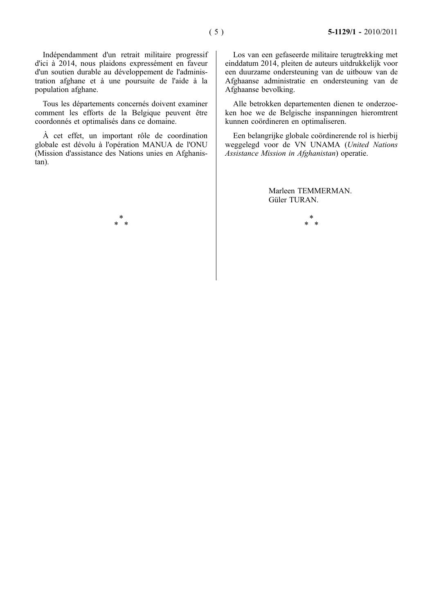Indépendamment d'un retrait militaire progressif d'ici à 2014, nous plaidons expressément en faveur d'un soutien durable au développement de l'administration afghane et à une poursuite de l'aide à la population afghane.

Tous les départements concernés doivent examiner comment les efforts de la Belgique peuvent être coordonnés et optimalisés dans ce domaine.

À cet effet, un important rôle de coordination globale est dévolu à l'opération MANUA de l'ONU (Mission d'assistance des Nations unies en Afghanistan).

> \* \* \*

Los van een gefaseerde militaire terugtrekking met einddatum 2014, pleiten de auteurs uitdrukkelijk voor een duurzame ondersteuning van de uitbouw van de Afghaanse administratie en ondersteuning van de Afghaanse bevolking.

Alle betrokken departementen dienen te onderzoeken hoe we de Belgische inspanningen hieromtrent kunnen coördineren en optimaliseren.

Een belangrijke globale coördinerende rol is hierbij weggelegd voor de VN UNAMA (*United Nations Assistance Mission in Afghanistan*) operatie.

> Marleen TEMMERMAN. Güler TURAN.

\* \* \*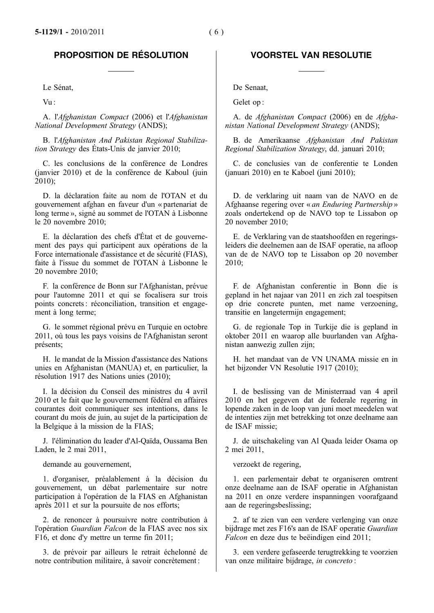## **PROPOSITION DE RÉSOLUTION VOORSTEL VAN RESOLUTIE**

A. l'*Afghanistan Compact* (2006) et l'*Afghanistan National Development Strategy* (ANDS);

B. l'*Afghanistan And Pakistan Regional Stabilization Strategy* des États-Unis de janvier 2010;

C. les conclusions de la conférence de Londres (janvier 2010) et de la conférence de Kaboul (juin 2010);

D. la déclaration faite au nom de l'OTAN et du gouvernement afghan en faveur d'un « partenariat de long terme », signé au sommet de l'OTAN à Lisbonne le 20 novembre 2010;

E. la déclaration des chefs d'État et de gouvernement des pays qui participent aux opérations de la Force internationale d'assistance et de sécurité (FIAS), faite à l'issue du sommet de l'OTAN à Lisbonne le 20 novembre 2010;

F. la conférence de Bonn sur l'Afghanistan, prévue pour l'automne 2011 et qui se focalisera sur trois points concrets : réconciliation, transition et engagement à long terme;

G. le sommet régional prévu en Turquie en octobre 2011, où tous les pays voisins de l'Afghanistan seront présents;

H. le mandat de la Mission d'assistance des Nations unies en Afghanistan (MANUA) et, en particulier, la résolution 1917 des Nations unies (2010);

I. la décision du Conseil des ministres du 4 avril 2010 et le fait que le gouvernement fédéral en affaires courantes doit communiquer ses intentions, dans le courant du mois de juin, au sujet de la participation de la Belgique à la mission de la FIAS;

J. l'élimination du leader d'Al-Qaïda, Oussama Ben Laden, le 2 mai 2011,

demande au gouvernement, et al. et al. et al. et al. et al. et al. et al. et al. et al. et al. et al. et al. et al. et al. et al. et al. et al. et al. et al. et al. et al. et al. et al. et al. et al. et al. et al. et al. e

1. d'organiser, préalablement à la décision du gouvernement, un débat parlementaire sur notre participation à l'opération de la FIAS en Afghanistan après 2011 et sur la poursuite de nos efforts;

2. de renoncer à poursuivre notre contribution à l'opération *Guardian Falcon* de la FIAS avec nos six F16, et donc d'y mettre un terme fin 2011;

3. de prévoir par ailleurs le retrait échelonné de notre contribution militaire, à savoir concrètement :

Le Sénat, De Senaat,

Vu: Gelet op :

A. de *Afghanistan Compact* (2006) en de *Afghanistan National Development Strategy* (ANDS);

B. de Amerikaanse *Afghanistan And Pakistan Regional Stabilization Strategy*, dd. januari 2010;

C. de conclusies van de conferentie te Londen (januari 2010) en te Kaboel (juni 2010);

D. de verklaring uit naam van de NAVO en de Afghaanse regering over « *an Enduring Partnership* » zoals ondertekend op de NAVO top te Lissabon op 20 november 2010;

E. de Verklaring van de staatshoofden en regeringsleiders die deelnemen aan de ISAF operatie, na afloop van de de NAVO top te Lissabon op 20 november 2010;

F. de Afghanistan conferentie in Bonn die is gepland in het najaar van 2011 en zich zal toespitsen op drie concrete punten, met name verzoening, transitie en langetermijn engagement;

G. de regionale Top in Turkije die is gepland in oktober 2011 en waarop alle buurlanden van Afghanistan aanwezig zullen zijn;

H. het mandaat van de VN UNAMA missie en in het bijzonder VN Resolutie 1917 (2010);

I. de beslissing van de Ministerraad van 4 april 2010 en het gegeven dat de federale regering in lopende zaken in de loop van juni moet meedelen wat de intenties zijn met betrekking tot onze deelname aan de ISAF missie;

J. de uitschakeling van Al Quada leider Osama op 2 mei 2011,

1. een parlementair debat te organiseren omtrent onze deelname aan de ISAF operatie in Afghanistan na 2011 en onze verdere inspanningen voorafgaand aan de regeringsbeslissing;

2. af te zien van een verdere verlenging van onze bijdrage met zes F16's aan de ISAF operatie *Guardian Falcon* en deze dus te beëindigen eind 2011;

3. een verdere gefaseerde terugtrekking te voorzien van onze militaire bijdrage, *in concreto* :